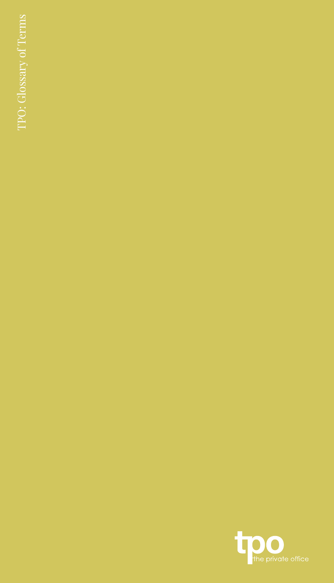TPO: Glossary of Terms TPO: Glossary of Terms

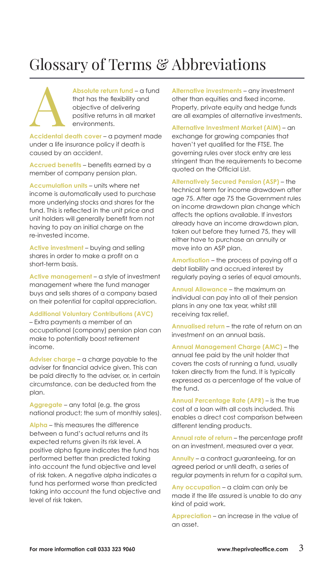# Glossary of Terms & Abbreviations

**Absolute return fund** – a fund that has the flexibility and objective of delivering positive returns in all market environments.

**Accidental death cover** – a payment made under a life insurance policy if death is caused by an accident.

**Accrued benefits** – benefits earned by a member of company pension plan.

**Accumulation units** – units where net income is automatically used to purchase more underlying stocks and shares for the fund. This is reflected in the unit price and unit holders will generally benefit from not having to pay an initial charge on the re-invested income.

**Active investment** – buying and selling shares in order to make a profit on a short-term basis.

**Active management** – a style of investment management where the fund manager buys and sells shares of a company based on their potential for capital appreciation.

#### **Additional Voluntary Contributions (AVC)**

– Extra payments a member of an occupational (company) pension plan can make to potentially boost retirement income.

**Adviser charge** – a charge payable to the adviser for financial advice given. This can be paid directly to the adviser, or, in certain circumstance, can be deducted from the plan.

**Aggregate** – any total (e.g. the gross national product; the sum of monthly sales).

**Alpha** – this measures the difference between a fund's actual returns and its expected returns given its risk level. A positive alpha figure indicates the fund has performed better than predicted taking into account the fund objective and level of risk taken. A negative alpha indicates a fund has performed worse than predicted taking into account the fund objective and level of risk taken.

**Alternative investments** – any investment other than equities and fixed income. Property, private equity and hedge funds are all examples of alternative investments.

**Alternative Investment Market (AIM)** – an exchange for growing companies that haven't yet qualified for the FTSE. The governing rules over stock entry are less stringent than the requirements to become quoted on the Official List.

**Alternatively Secured Pension (ASP)** – the technical term for income drawdown after age 75. After age 75 the Government rules on income drawdown plan change which affects the options available. If investors already have an income drawdown plan, taken out before they turned 75, they will either have to purchase an annuity or move into an ASP plan.

**Amortisation** – the process of paying off a debt liability and accrued interest by regularly paying a series of equal amounts.

**Annual Allowance** – the maximum an individual can pay into all of their pension plans in any one tax year, whilst still receiving tax relief.

**Annualised return** – the rate of return on an investment on an annual basis.

**Annual Management Charge (AMC)** – the annual fee paid by the unit holder that covers the costs of running a fund, usually taken directly from the fund. It is typically expressed as a percentage of the value of the fund.

**Annual Percentage Rate (APR)** – is the true cost of a loan with all costs included. This enables a direct cost comparison between different lending products.

**Annual rate of return** – the percentage profit on an investment, measured over a year.

**Annuity** – a contract guaranteeing, for an agreed period or until death, a series of regular payments in return for a capital sum.

**Any occupation** – a claim can only be made if the life assured is unable to do any kind of paid work.

**Appreciation** – an increase in the value of an asset.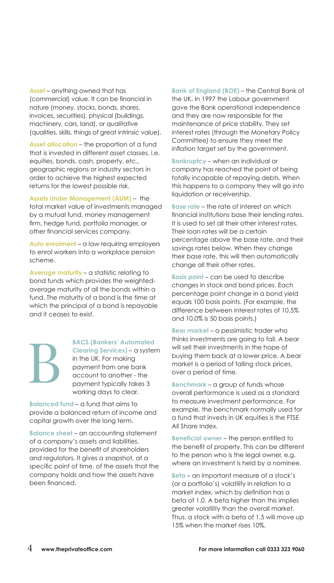**Asset** – anything owned that has (commercial) value. It can be financial in nature (money, stocks, bonds, shares, invoices, securities), physical (buildings, machinery, cars, land), or qualitative (qualities, skills, things of great intrinsic value).

**Asset allocation** – the proportion of a fund that is invested in different asset classes, i.e. equities, bonds, cash, property, etc., geographic regions or industry sectors in order to achieve the highest expected returns for the lowest possible risk.

**Assets Under Management (AUM)** – the total market value of investments managed by a mutual fund, money management firm, hedge fund, portfolio manager, or other financial services company.

**Auto enrolment** – a law requiring employers to enrol workers into a workplace pension scheme.

**Average maturity** – a statistic relating to bond funds which provides the weightedaverage maturity of all the bonds within a fund. The maturity of a bond is the time at which the principal of a bond is repayable and it ceases to exist.

## **BACS (Bankers' Automated**

**Clearing Services)** – a system in the UK. For making payment from one bank account to another - the payment typically takes 3 working days to clear.

**Balanced fund** – a fund that aims to provide a balanced return of income and capital growth over the long term.

**Balance sheet** – an accounting statement of a company's assets and liabilities, provided for the benefit of shareholders and regulators. It gives a snapshot, at a specific point of time, of the assets that the company holds and how the assets have been financed.

**Bank of England (BOE)** – the Central Bank of the UK. In 1997 the Labour government gave the Bank operational independence and they are now responsible for the maintenance of price stability. They set interest rates (through the Monetary Policy Committee) to ensure they meet the inflation target set by the government.

**Bankruptcy** – when an individual or company has reached the point of being totally incapable of repaying debts. When this happens to a company they will go into liquidation or receivership.

**Base rate** – the rate of interest on which financial institutions base their lending rates. It is used to set all their other interest rates. Their loan rates will be a certain percentage above the base rate, and their savings rates below. When they change their base rate, this will then automatically change all their other rates.

**Basis point** – can be used to describe changes in stock and bond prices. Each percentage point change in a bond yield equals 100 basis points. (For example, the difference between interest rates of 10.5% and 10.0% is 50 basis points.)

**Bear market** – a pessimistic trader who thinks investments are going to fall. A bear will sell their investments in the hope of buying them back at a lower price. A bear market is a period of falling stock prices, over a period of time.

**Benchmark** – a group of funds whose overall performance is used as a standard to measure investment performance. For example, the benchmark normally used for a fund that invests in UK equities is the FTSE All Share Index.

**Beneficial owner** – the person entitled to the benefit of property. This can be different to the person who is the legal owner, e.g. where an investment is held by a nominee.

**Beta** – an important measure of a stock's (or a portfolio's) volatility in relation to a market index, which by definition has a beta of 1.0. A beta higher than this implies greater volatility than the overall market. Thus, a stock with a beta of 1.5 will move up 15% when the market rises 10%.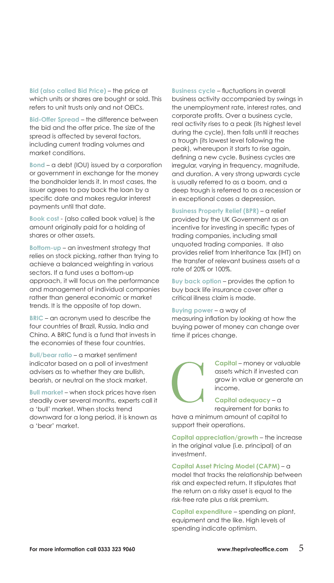**Bid (also called Bid Price)** – the price at which units or shares are bought or sold. This refers to unit trusts only and not OEICs.

**Bid-Offer Spread** – the difference between the bid and the offer price. The size of the spread is affected by several factors, including current trading volumes and market conditions.

**Bond** – a debt (IOU) issued by a corporation or government in exchange for the money the bondholder lends it. In most cases, the issuer agrees to pay back the loan by a specific date and makes regular interest payments until that date.

**Book cost** - (also called book value) is the amount originally paid for a holding of shares or other assets.

**Bottom-up** – an investment strategy that relies on stock picking, rather than trying to achieve a balanced weighting in various sectors. If a fund uses a bottom-up approach, it will focus on the performance and management of individual companies rather than general economic or market trends. It is the opposite of top down.

**BRIC** – an acronym used to describe the four countries of Brazil, Russia, India and China. A BRIC fund is a fund that invests in the economies of these four countries.

**Bull/bear ratio** – a market sentiment indicator based on a poll of investment advisers as to whether they are bullish, bearish, or neutral on the stock market.

**Bull market** – when stock prices have risen steadily over several months, experts call it a 'bull' market. When stocks trend downward for a long period, it is known as a 'bear' market.

**Business cycle** – fluctuations in overall business activity accompanied by swings in the unemployment rate, interest rates, and corporate profits. Over a business cycle, real activity rises to a peak (its highest level during the cycle), then falls until it reaches a trough (its lowest level following the peak), whereupon it starts to rise again, defining a new cycle. Business cycles are irregular, varying in frequency, magnitude, and duration. A very strong upwards cycle is usually referred to as a boom, and a deep trough is referred to as a recession or in exceptional cases a depression.

**Business Property Relief (BPR)** – a relief provided by the UK Government as an incentive for investing in specific types of trading companies, including small unquoted trading companies. It also provides relief from Inheritance Tax (IHT) on the transfer of relevant business assets at a rate of 20% or 100%.

**Buy back option** – provides the option to buy back life insurance cover after a critical illness claim is made.

#### **Buying power** – a way of

measuring inflation by looking at how the buying power of money can change over time if prices change.

> **Capital** – money or valuable assets which if invested can grow in value or generate an income.

**Capital adequacy** – a requirement for banks to

have a minimum amount of capital to support their operations.

**Capital appreciation/growth** – the increase in the original value (i.e. principal) of an investment.

**Capital Asset Pricing Model (CAPM)** – a model that tracks the relationship between risk and expected return. It stipulates that the return on a risky asset is equal to the risk-free rate plus a risk premium.

**Capital expenditure** – spending on plant, equipment and the like. High levels of spending indicate optimism.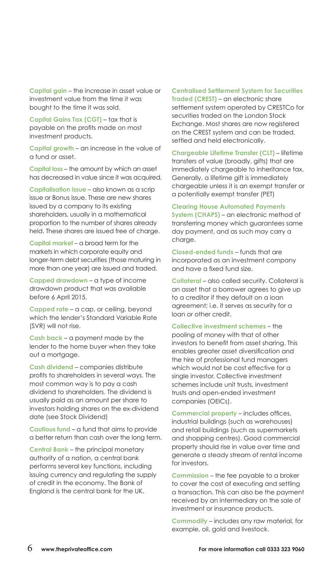**Capital gain** – the increase in asset value or investment value from the time it was bought to the time it was sold.

**Capital Gains Tax (CGT)** – tax that is payable on the profits made on most investment products.

**Capital growth** – an increase in the value of a fund or asset.

**Capital loss** – the amount by which an asset has decreased in value since it was acquired.

**Capitalisation issue** – also known as a scrip issue or Bonus issue. These are new shares issued by a company to its existing shareholders, usually in a mathematical proportion to the number of shares already held. These shares are issued free of charge.

**Capital market** – a broad term for the markets in which corporate equity and longer-term debt securities (those maturing in more than one year) are issued and traded.

**Capped drawdown** – a type of income drawdown product that was available before 6 April 2015.

**Capped rate** – a cap, or ceiling, beyond which the lender's Standard Variable Rate (SVR) will not rise.

**Cash back** – a payment made by the lender to the home buyer when they take out a mortgage.

**Cash dividend** – companies distribute profits to shareholders in several ways. The most common way is to pay a cash dividend to shareholders. The dividend is usually paid as an amount per share to investors holding shares on the ex-dividend date (see Stock Dividend)

**Cautious fund** – a fund that aims to provide a better return than cash over the long term.

**Central Bank** – the principal monetary authority of a nation, a central bank performs several key functions, including issuing currency and regulating the supply of credit in the economy. The Bank of England is the central bank for the UK.

**Centralised Settlement System for Securities Traded (CREST)** – an electronic share settlement system operated by CRESTCo for securities traded on the London Stock Exchange. Most shares are now registered on the CREST system and can be traded, settled and held electronically.

**Chargeable Lifetime Transfer (CLT)** – lifetime transfers of value (broadly, gifts) that are immediately chargeable to inheritance tax. Generally, a lifetime gift is immediately chargeable unless it is an exempt transfer or a potentially exempt transfer (PET)

**Clearing House Automated Payments** 

**System (CHAPS)** – an electronic method of transferring money which guarantees same day payment, and as such may carry a charge.

**Closed-ended funds** – funds that are incorporated as an investment company and have a fixed fund size.

**Collateral** – also called security. Collateral is an asset that a borrower agrees to give up to a creditor if they default on a loan agreement; i.e. it serves as security for a loan or other credit.

**Collective investment schemes** – the pooling of money with that of other investors to benefit from asset sharing. This enables greater asset diversification and the hire of professional fund managers which would not be cost effective for a single investor. Collective investment schemes include unit trusts, investment trusts and open-ended investment companies (OEICs).

**Commercial property** – includes offices, industrial buildings (such as warehouses) and retail buildings (such as supermarkets and shopping centres). Good commercial property should rise in value over time and generate a steady stream of rental income for investors.

**Commission** – the fee payable to a broker to cover the cost of executing and settling a transaction. This can also be the payment received by an intermediary on the sale of investment or insurance products.

**Commodity** – includes any raw material, for example, oil, gold and livestock.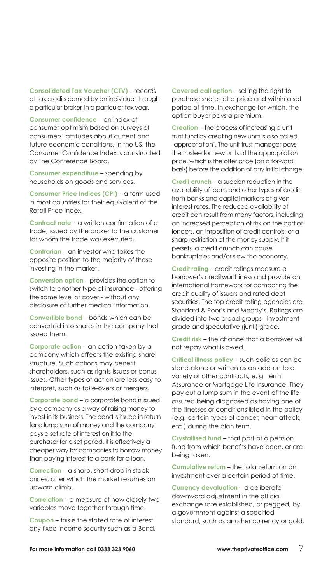**Consolidated Tax Voucher (CTV)** – records all tax credits earned by an individual through a particular broker, in a particular tax year.

**Consumer confidence** – an index of consumer optimism based on surveys of consumers' attitudes about current and future economic conditions. In the US, the Consumer Confidence Index is constructed by The Conference Board.

**Consumer expenditure** – spending by households on goods and services.

**Consumer Price Indices (CPI)** – a term used in most countries for their equivalent of the Retail Price Index.

**Contract note** – a written confirmation of a trade, issued by the broker to the customer for whom the trade was executed.

**Contrarian** – an investor who takes the opposite position to the majority of those investing in the market.

**Conversion option** – provides the option to switch to another type of insurance - offering the same level of cover - without any disclosure of further medical information.

**Convertible bond** – bonds which can be converted into shares in the company that issued them.

**Corporate action** – an action taken by a company which affects the existing share structure. Such actions may benefit shareholders, such as rights issues or bonus issues. Other types of action are less easy to interpret, such as take-overs or mergers.

**Corporate bond** – a corporate bond is issued by a company as a way of raising money to invest in its business. The bond is issued in return for a lump sum of money and the company pays a set rate of interest on it to the purchaser for a set period. It is effectively a cheaper way for companies to borrow money than paying interest to a bank for a loan.

**Correction** – a sharp, short drop in stock prices, after which the market resumes an upward climb.

**Correlation** – a measure of how closely two variables move together through time.

**Coupon** – this is the stated rate of interest any fixed income security such as a Bond.

**Covered call option** – selling the right to purchase shares at a price and within a set period of time. In exchange for which, the option buyer pays a premium.

**Creation** – the process of increasing a unit trust fund by creating new units is also called 'appropriation'. The unit trust manager pays the trustee for new units at the appropriation price, which is the offer price (on a forward basis) before the addition of any initial charge.

**Credit crunch** – a sudden reduction in the availability of loans and other types of credit from banks and capital markets at given interest rates. The reduced availability of credit can result from many factors, including an increased perception of risk on the part of lenders, an imposition of credit controls, or a sharp restriction of the money supply. If it persists, a credit crunch can cause bankruptcies and/or slow the economy.

**Credit rating** – credit ratings measure a borrower's creditworthiness and provide an international framework for comparing the credit quality of issuers and rated debt securities. The top credit rating agencies are Standard & Poor's and Moody's. Ratings are divided into two broad groups - investment grade and speculative (junk) grade.

**Credit risk** – the chance that a borrower will not repay what is owed.

**Critical illness policy** – such policies can be stand-alone or written as an add-on to a variety of other contracts, e. g. Term Assurance or Mortgage Life Insurance. They pay out a lump sum in the event of the life assured being diagnosed as having one of the illnesses or conditions listed in the policy (e.g. certain types of cancer, heart attack, etc.) during the plan term.

**Crystallised fund** – that part of a pension fund from which benefits have been, or are being taken.

**Cumulative return** – the total return on an investment over a certain period of time.

**Currency devaluation** – a deliberate downward adjustment in the official exchange rate established, or pegged, by a government against a specified standard, such as another currency or gold.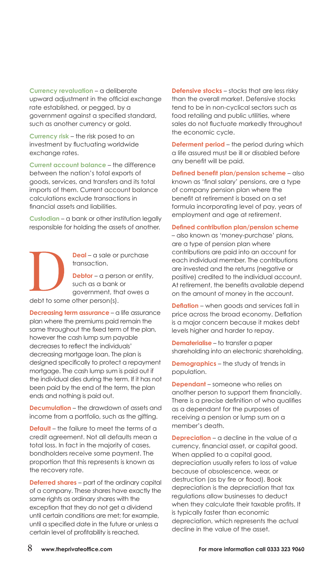**Currency revaluation** – a deliberate upward adjustment in the official exchange rate established, or pegged, by a government against a specified standard, such as another currency or gold.

**Currency risk** – the risk posed to an investment by fluctuating worldwide exchange rates.

**Current account balance** – the difference between the nation's total exports of goods, services, and transfers and its total imports of them. Current account balance calculations exclude transactions in financial assets and liabilities.

**Custodian** – a bank or other institution legally responsible for holding the assets of another.

**Deal** – a sale or purchase transaction. **Debtor** – a person or entity, such as a bank or government, that owes a

debt to some other person(s).

**Decreasing term assurance** – a life assurance plan where the premiums paid remain the same throughout the fixed term of the plan, however the cash lump sum payable decreases to reflect the individuals' decreasing mortgage loan. The plan is designed specifically to protect a repayment mortgage. The cash lump sum is paid out if the individual dies during the term. If it has not been paid by the end of the term, the plan ends and nothing is paid out.

**Decumulation** – the drawdown of assets and income from a portfolio, such as the gifting.

**Default** – the failure to meet the terms of a credit agreement. Not all defaults mean a total loss. In fact in the majority of cases, bondholders receive some payment. The proportion that this represents is known as the recovery rate.

**Deferred shares** – part of the ordinary capital of a company. These shares have exactly the same rights as ordinary shares with the exception that they do not get a dividend until certain conditions are met; for example, until a specified date in the future or unless a certain level of profitability is reached.

**Defensive stocks** – stocks that are less risky than the overall market. Defensive stocks tend to be in non-cyclical sectors such as food retailing and public utilities, where sales do not fluctuate markedly throughout the economic cycle.

**Deferment period** – the period during which a life assured must be ill or disabled before any benefit will be paid.

**Defined benefit plan/pension scheme** – also known as 'final salary' pensions, are a type of company pension plan where the benefit at retirement is based on a set formula incorporating level of pay, years of employment and age at retirement.

#### **Defined contribution plan/pension scheme**

– also known as 'money-purchase' plans, are a type of pension plan where contributions are paid into an account for each individual member. The contributions are invested and the returns (negative or positive) credited to the individual account. At retirement, the benefits available depend on the amount of money in the account.

**Deflation** – when goods and services fall in price across the broad economy. Deflation is a major concern because it makes debt levels higher and harder to repay.

**Dematerialise** – to transfer a paper shareholding into an electronic shareholding.

**Demographics** – the study of trends in population.

**Dependant** – someone who relies on another person to support them financially. There is a precise definition of who qualifies as a dependant for the purposes of receiving a pension or lump sum on a member's death.

**Depreciation** – a decline in the value of a currency, financial asset, or capital good. When applied to a capital good, depreciation usually refers to loss of value because of obsolescence, wear, or destruction (as by fire or flood). Book depreciation is the depreciation that tax regulations allow businesses to deduct when they calculate their taxable profits. It is typically faster than economic depreciation, which represents the actual decline in the value of the asset.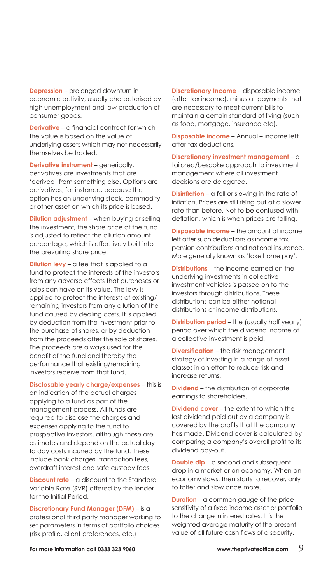**Depression** – prolonged downturn in economic activity, usually characterised by high unemployment and low production of consumer goods.

**Derivative** – a financial contract for which the value is based on the value of underlying assets which may not necessarily themselves be traded.

**Derivative instrument** – generically, derivatives are investments that are 'derived' from something else. Options are derivatives, for instance, because the option has an underlying stock, commodity or other asset on which its price is based.

**Dilution adjustment** – when buying or selling the investment, the share price of the fund is adjusted to reflect the dilution amount percentage, which is effectively built into the prevailing share price.

**Dilution levy** – a fee that is applied to a fund to protect the interests of the investors from any adverse effects that purchases or sales can have on its value. The levy is applied to protect the interests of existing/ remaining investors from any dilution of the fund caused by dealing costs. It is applied by deduction from the investment prior to the purchase of shares, or by deduction from the proceeds after the sale of shares. The proceeds are always used for the benefit of the fund and thereby the performance that existing/remaining investors receive from that fund.

**Disclosable yearly charge/expenses** – this is an indication of the actual charges applying to a fund as part of the management process. All funds are required to disclose the charges and expenses applying to the fund to prospective investors, although these are estimates and depend on the actual day to day costs incurred by the fund. These include bank charges, transaction fees, overdraft interest and safe custody fees.

**Discount rate** – a discount to the Standard Variable Rate (SVR) offered by the lender for the Initial Period.

**Discretionary Fund Manager (DFM)** – is a professional third party manager working to set parameters in terms of portfolio choices (risk profile, client preferences, etc.)

**Discretionary Income** – disposable income (after tax income), minus all payments that are necessary to meet current bills to maintain a certain standard of living (such as food, mortgage, insurance etc).

**Disposable income** – Annual – income left after tax deductions.

**Discretionary investment management** – a tailored/bespoke approach to investment management where all investment decisions are delegated.

**Disinflation** – a fall or slowing in the rate of inflation. Prices are still rising but at a slower rate than before. Not to be confused with deflation, which is when prices are falling.

**Disposable income** – the amount of income left after such deductions as income tax, pension contributions and national insurance. More generally known as 'take home pay'.

**Distributions** – the income earned on the underlying investments in collective investment vehicles is passed on to the investors through distributions. These distributions can be either notional distributions or income distributions.

**Distribution period** – the (usually half yearly) period over which the dividend income of a collective investment is paid.

**Diversification** – the risk management strategy of investing in a range of asset classes in an effort to reduce risk and increase returns.

**Dividend** – the distribution of corporate earnings to shareholders.

**Dividend cover** – the extent to which the last dividend paid out by a company is covered by the profits that the company has made. Dividend cover is calculated by comparing a company's overall profit to its dividend pay-out.

**Double dip** – a second and subsequent drop in a market or an economy. When an economy slows, then starts to recover, only to falter and slow once more.

**Duration** – a common gauge of the price sensitivity of a fixed income asset or portfolio to the change in interest rates. It is the weighted average maturity of the present value of all future cash flows of a security.

For more information call 0333 323 9060 www.theprivateoffice.com 9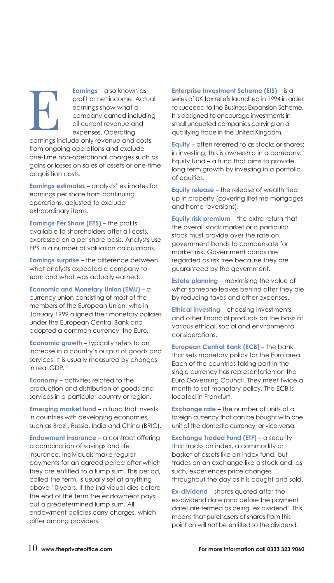**Earnings** – also known as profit or net income. Actual earnings show what a company earned including all current revenue and expenses. Operating

earnings include only revenue and costs from ongoing operations and exclude one-time non-operational charges such as gains or losses on sales of assets or one-time acquisition costs.

**Earnings estimates** – analysts' estimates for earnings per share from continuing operations, adjusted to exclude extraordinary items.

**Earnings Per Share (EPS)** – the profits available to shareholders after all costs, expressed on a per share basis. Analysts use EPS in a number of valuation calculations.

**Earnings surprise** – the difference between what analysts expected a company to earn and what was actually earned.

**Economic and Monetary Union (EMU)** – a currency union consisting of most of the members of the European Union, who in January 1999 aligned their monetary policies under the European Central Bank and adopted a common currency, the Euro.

**Economic growth** – typically refers to an increase in a country's output of goods and services. It is usually measured by changes in real GDP.

**Economy** – activities related to the production and distribution of goods and services in a particular country or region.

**Emerging market fund** – a fund that invests in countries with developing economies, such as Brazil, Russia, India and China (BRIC).

**Endowment insurance** – a contract offering a combination of savings and life insurance. Individuals make regular payments for an agreed period after which they are entitled to a lump sum. This period, called the term, is usually set at anything above 10 years. If the individual dies before the end of the term the endowment pays out a predetermined lump sum. All endowment policies carry charges, which differ among providers.

**Enterprise Investment Scheme (EIS)** – is a series of UK tax reliefs launched in 1994 in order to succeed to the Business Expansion Scheme. It is designed to encourage investments in small unquoted companies carrying on a qualifying trade in the United Kingdom.

**Equity** – often referred to as stocks or shares; in investing, this is ownership in a company. Equity fund – a fund that aims to provide long term growth by investing in a portfolio of equities.

**Equity release** – the release of wealth tied up in property (covering lifetime mortgages and home reversions).

**Equity risk premium** – the extra return that the overall stock market or a particular stock must provide over the rate on government bonds to compensate for market risk. Government bonds are regarded as risk free because they are guaranteed by the government.

**Estate planning** – maximising the value of what someone leaves behind after they die by reducing taxes and other expenses.

**Ethical investing** – choosing investments and other financial products on the basis of various ethical, social and environmental considerations.

**European Central Bank (ECB)** – the bank that sets monetary policy for the Euro area. Each of the countries taking part in the single currency has representation on the Euro Governing Council. They meet twice a month to set monetary policy. The ECB is located in Frankfurt.

**Exchange rate** – the number of units of a foreign currency that can be bought with one unit of the domestic currency, or vice versa.

**Exchange Traded Fund (ETF)** – a security that tracks an index, a commodity or basket of assets like an index fund, but trades on an exchange like a stock and, as such, experiences price changes throughout the day as it is bought and sold.

**Ex-dividend** – shares quoted after the ex-dividend date (and before the payment date) are termed as being 'ex dividend'. This means that purchasers of shares from this point on will not be entitled to the dividend.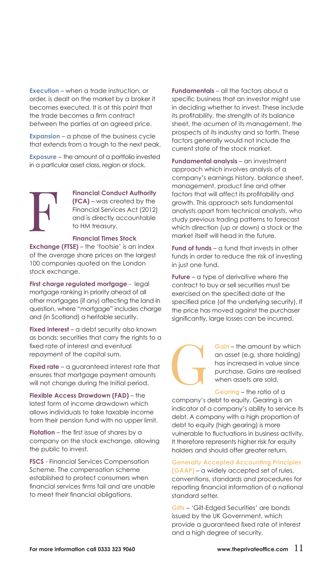**Execution** – when a trade instruction, or order, is dealt on the market by a broker it becomes executed. It is at this point that the trade becomes a firm contract between the parties at an agreed price.

**Expansion** – a phase of the business cycle that extends from a trough to the next peak.

**Exposure** – the amount of a portfolio invested in a particular asset class, region or stock.

### **Financial Conduct Authority (FCA)** – was created by the Financial Services Act (2012) and is directly accountable to HM treasury.

#### **Financial Times Stock**

**Exchange (FTSE)** – the 'footsie' is an index of the average share prices on the largest 100 companies quoted on the London stock exchange.

**First charge regulated mortgage** - legal mortgage ranking in priority ahead of all other mortgages (if any) affecting the land in question, where "mortgage" includes charge and (in Scotland) a heritable security.

**Fixed interest** – a debt security also known as bonds; securities that carry the rights to a fixed rate of interest and eventual repayment of the capital sum.

**Fixed rate** – a guaranteed interest rate that ensures that mortgage payment amounts will not change during the Initial period.

**Flexible Access Drawdown (FAD)** – the latest form of income drawdown which allows individuals to take taxable income from their pension fund with no upper limit.

**Flotation** – the first issue of shares by a company on the stock exchange, allowing the public to invest.

**FSCS** - Financial Services Compensation Scheme. The compensation scheme established to protect consumers when financial services firms fail and are unable to meet their financial obligations.

**Fundamentals** – all the factors about a specific business that an investor might use in deciding whether to invest. These include its profitability, the strength of its balance sheet, the acumen of its management, the prospects of its industry and so forth. These factors generally would not include the current state of the stock market.

**Fundamental analysis** – an investment approach which involves analysis of a company's earnings history, balance sheet, management, product line and other factors that will affect its profitability and growth. This approach sets fundamental analysts apart from technical analysts, who study previous trading patterns to forecast which direction (up or down) a stock or the market itself will head in the future.

**Fund of funds** – a fund that invests in other funds in order to reduce the risk of investing in just one fund.

**Future** – a type of derivative where the contract to buy or sell securities must be exercised on the specified date at the specified price (of the underlying security). If the price has moved against the purchaser significantly, large losses can be incurred.



**Gain** – the amount by which an asset (e.g. share holding) has increased in value since purchase. Gains are realised when assets are sold.

**Gearing** – the ratio of a company's debt to equity. Gearing is an indicator of a company's ability to service its debt. A company with a high proportion of debt to equity (high gearing) is more vulnerable to fluctuations in business activity. It therefore represents higher risk for equity holders and should offer greater return.

### **Generally Accepted Accounting Principles**

**(GAAP)** – a widely accepted set of rules, conventions, standards and procedures for reporting financial information of a national standard setter.

**Gilts** – 'Gilt-Edged Securities' are bonds issued by the UK Government, which provide a guaranteed fixed rate of interest and a high degree of security.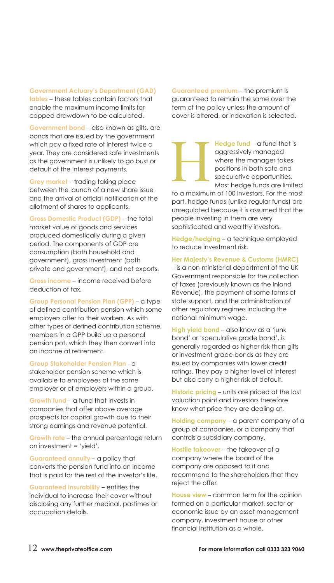**Government Actuary's Department (GAD) tables** – these tables contain factors that enable the maximum income limits for capped drawdown to be calculated.

**Government bond** – also known as gilts, are bonds that are issued by the government which pay a fixed rate of interest twice a year. They are considered safe investments as the government is unlikely to go bust or default of the interest payments.

**Grey market** – trading taking place between the launch of a new share issue and the arrival of official notification of the allotment of shares to applicants.

**Gross Domestic Product (GDP)** – the total market value of goods and services produced domestically during a given period. The components of GDP are consumption (both household and government), gross investment (both private and government), and net exports.

**Gross income** – income received before deduction of tax.

**Group Personal Pension Plan (GPP)** – a type of defined contribution pension which some employers offer to their workers. As with other types of defined contribution scheme, members in a GPP build up a personal pension pot, which they then convert into an income at retirement.

**Group Stakeholder Pension Plan** - a

stakeholder pension scheme which is available to employees of the same employer or of employers within a group.

**Growth fund** – a fund that invests in companies that offer above average prospects for capital growth due to their strong earnings and revenue potential.

**Growth rate** – the annual percentage return on investment = 'yield'.

**Guaranteed annuity** – a policy that converts the pension fund into an income that is paid for the rest of the investor's life.

**Guaranteed insurability** – entitles the individual to increase their cover without disclosing any further medical, pastimes or occupation details.

**Guaranteed premium** – the premium is guaranteed to remain the same over the term of the policy unless the amount of cover is altered, or indexation is selected.

> **Hedge fund** – a fund that is aggressively managed where the manager takes positions in both safe and speculative opportunities. Most hedge funds are limited

to a maximum of 100 investors. For the most part, hedge funds (unlike regular funds) are unregulated because it is assumed that the people investing in them are very sophisticated and wealthy investors.

**Hedge/hedging** – a technique employed to reduce investment risk.

#### **Her Majesty's Revenue & Customs (HMRC)**

– is a non-ministerial department of the UK Government responsible for the collection of taxes (previously known as the Inland Revenue), the payment of some forms of state support, and the administration of other regulatory regimes including the national minimum wage.

**High yield bond** – also know as a 'junk bond' or 'speculative grade bond', is generally regarded as higher risk than gilts or investment grade bonds as they are issued by companies with lower credit ratings. They pay a higher level of interest but also carry a higher risk of default.

**Historic pricing** – units are priced at the last valuation point and investors therefore know what price they are dealing at.

**Holding company** – a parent company of a group of companies, or a company that controls a subsidiary company.

**Hostile takeover** – the takeover of a company where the board of the company are opposed to it and recommend to the shareholders that they reject the offer.

**House view** – common term for the opinion formed on a particular market, sector or economic issue by an asset management company, investment house or other financial institution as a whole.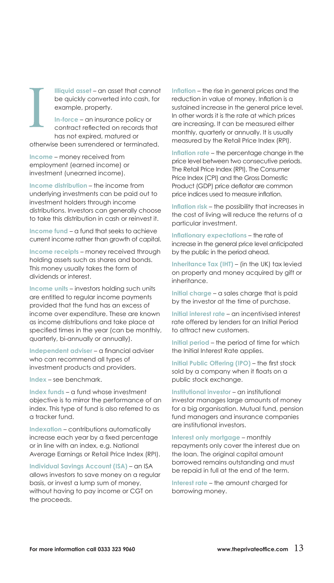**Illiquid asset** – an asset that cannot be quickly converted into cash, for example, property.

**In-force** – an insurance policy or contract reflected on records that has not expired, matured or

otherwise been surrendered or terminated.

**Income** – money received from employment (earned income) or investment (unearned income).

**Income distribution** – the income from underlying investments can be paid out to investment holders through income distributions. Investors can generally choose to take this distribution in cash or reinvest it.

**Income fund** – a fund that seeks to achieve current income rather than growth of capital.

**Income receipts** – money received through holding assets such as shares and bonds. This money usually takes the form of dividends or interest.

**Income units** – investors holding such units are entitled to regular income payments provided that the fund has an excess of income over expenditure. These are known as income distributions and take place at specified times in the year (can be monthly, quarterly, bi-annually or annually).

**Independent adviser** – a financial adviser who can recommend all types of investment products and providers.

**Index** – see benchmark.

**Index funds** – a fund whose investment objective is to mirror the performance of an index. This type of fund is also referred to as a tracker fund.

**Indexation** – contributions automatically increase each year by a fixed percentage or in line with an index, e.g. National Average Earnings or Retail Price Index (RPI).

**Individual Savings Account (ISA)** – an ISA allows investors to save money on a regular basis, or invest a lump sum of money, without having to pay income or CGT on the proceeds.

**Inflation** – the rise in general prices and the reduction in value of money. Inflation is a sustained increase in the general price level. In other words it is the rate at which prices are increasing. It can be measured either monthly, quarterly or annually. It is usually measured by the Retail Price Index (RPI).

**Inflation rate** – the percentage change in the price level between two consecutive periods. The Retail Price Index (RPI), The Consumer Price Index (CPI) and the Gross Domestic Product (GDP) price deflator are common price indices used to measure inflation.

**Inflation risk** – the possibility that increases in the cost of living will reduce the returns of a particular investment.

**Inflationary expectations** – the rate of increase in the general price level anticipated by the public in the period ahead.

**Inheritance Tax (IHT)** – (in the UK) tax levied on property and money acquired by gift or inheritance.

**Initial charge** – a sales charge that is paid by the investor at the time of purchase.

**Initial interest rate** – an incentivised interest rate offered by lenders for an Initial Period to attract new customers.

**Initial period** – the period of time for which the Initial Interest Rate applies.

**Initial Public Offering (IPO)** – the first stock sold by a company when it floats on a public stock exchange.

**Institutional investor** – an institutional investor manages large amounts of money for a big organisation. Mutual fund, pension fund managers and insurance companies are institutional investors.

**Interest only mortgage** – monthly repayments only cover the interest due on the loan. The original capital amount borrowed remains outstanding and must be repaid in full at the end of the term.

**Interest rate** – the amount charged for borrowing money.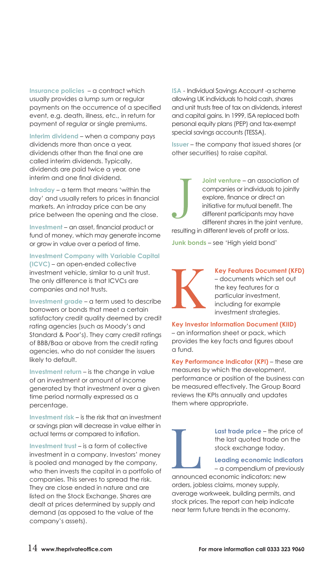**Insurance policies** – a contract which usually provides a lump sum or regular payments on the occurrence of a specified event, e.g. death, illness, etc., in return for payment of regular or single premiums.

**Interim dividend** – when a company pays dividends more than once a year, dividends other than the final one are called interim dividends. Typically, dividends are paid twice a year, one interim and one final dividend.

**Intraday** – a term that means 'within the day' and usually refers to prices in financial markets. An intraday price can be any price between the opening and the close.

**Investment** – an asset, financial product or fund of money, which may generate income or grow in value over a period of time.

### **Investment Company with Variable Capital**

**(ICVC)** – an open-ended collective investment vehicle, similar to a unit trust. The only difference is that ICVCs are companies and not trusts.

**Investment grade** – a term used to describe borrowers or bonds that meet a certain satisfactory credit quality deemed by credit rating agencies (such as Moody's and Standard & Poor's). They carry credit ratings of BBB/Baa or above from the credit rating agencies, who do not consider the issuers likely to default.

**Investment return** – is the change in value of an investment or amount of income generated by that investment over a given time period normally expressed as a percentage.

**Investment risk** – is the risk that an investment or savings plan will decrease in value either in actual terms or compared to inflation.

**Investment trust** – is a form of collective investment in a company. Investors' money is pooled and managed by the company, who then invests the capital in a portfolio of companies. This serves to spread the risk. They are close ended in nature and are listed on the Stock Exchange. Shares are dealt at prices determined by supply and demand (as opposed to the value of the company's assets).

**ISA** - Individual Savings Account -a scheme allowing UK individuals to hold cash, shares and unit trusts free of tax on dividends, interest and capital gains. In 1999, ISA replaced both personal equity plans (PEP) and tax-exempt special savings accounts (TESSA).

**Issuer** – the company that issued shares (or other securities) to raise capital.

**Joint venture** – an association of companies or individuals to jointly explore, finance or direct an initiative for mutual benefit. The different participants may have different shares in the joint venture, resulting in different levels of profit or loss.

**Junk bonds** – see 'High yield bond'



**Key Features Document (KFD)** – documents which set out the key features for a particular investment, including for example investment strategies.

**Key Investor Information Document (KIID)** – an information sheet or pack, which provides the key facts and figures about a fund.

**Key Performance Indicator (KPI)** – these are measures by which the development, performance or position of the business can be measured effectively. The Group Board reviews the KPIs annually and updates them where appropriate.

> **Last trade price** – the price of the last quoted trade on the stock exchange today.

**Leading economic indicators**  – a compendium of previously

announced economic indicators: new orders, jobless claims, money supply, average workweek, building permits, and stock prices. The report can help indicate near term future trends in the economy.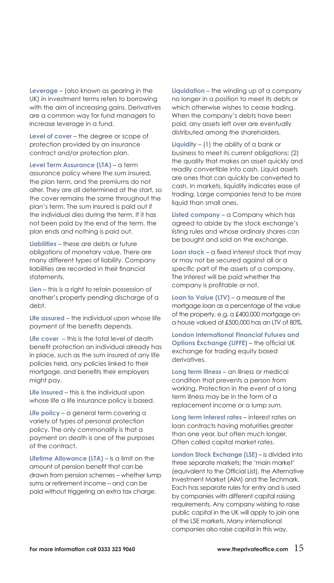**Leverage** – (also known as gearing in the UK) in investment terms refers to borrowing with the aim of increasing gains. Derivatives are a common way for fund managers to increase leverage in a fund.

**Level of cover** – the degree or scope of protection provided by an insurance contract and/or protection plan.

**Level Term Assurance (LTA)** – a term assurance policy where the sum insured, the plan term, and the premiums do not alter. They are all determined at the start, so the cover remains the same throughout the plan's term. The sum insured is paid out if the individual dies during the term. If it has not been paid by the end of the term, the plan ends and nothing is paid out.

**Liabilities** – these are debts or future obligations of monetary value. There are many different types of liability. Company liabilities are recorded in their financial statements.

**Lien** – this is a right to retain possession of another's property pending discharge of a debt.

**Life assured** – the individual upon whose life payment of the benefits depends.

**Life cover** – this is the total level of death benefit protection an individual already has in place, such as the sum insured of any life policies held, any policies linked to their mortgage, and benefits their employers might pay.

**Life insured** – this is the individual upon whose life a life insurance policy is based.

Life policy – a general term covering a variety of types of personal protection policy. The only commonality is that a payment on death is one of the purposes of the contract.

**Lifetime Allowance (LTA)** – is a limit on the amount of pension benefit that can be drawn from pension schemes – whether lump sums or retirement income – and can be paid without triggering an extra tax charge.

**Liquidation** – the winding up of a company no longer in a position to meet its debts or which otherwise wishes to cease trading. When the company's debts have been paid, any assets left over are eventually distributed among the shareholders.

**Liquidity** – (1) the ability of a bank or business to meet its current obligations; (2) the quality that makes an asset quickly and readily convertible into cash. Liquid assets are ones that can quickly be converted to cash. In markets, liquidity indicates ease of trading. Large companies tend to be more liquid than small ones.

**Listed company** – a Company which has agreed to abide by the stock exchange's listing rules and whose ordinary shares can be bought and sold on the exchange.

**Loan stock** – a fixed interest stock that may or may not be secured against all or a specific part of the assets of a company. The interest will be paid whether the company is profitable or not.

**Loan to Value (LTV)** – a measure of the mortgage loan as a percentage of the value of the property, e.g. a £400,000 mortgage on a house valued at £500,000 has an LTV of 80%.

**London International Financial Futures and Options Exchange (LIFFE)** – the official UK exchange for trading equity based derivatives.

**Long term illness** – an illness or medical condition that prevents a person from working. Protection in the event of a long term illness may be in the form of a replacement income or a lump sum.

**Long term interest rates** – interest rates on loan contracts having maturities greater than one year, but often much longer. Often called capital market rates.

**London Stock Exchange (LSE)** – is divided into three separate markets; the 'main market' (equivalent to the Official List), the Alternative Investment Market (AIM) and the Techmark. Each has separate rules for entry and is used by companies with different capital raising requirements. Any company wishing to raise public capital in the UK will apply to join one of the LSE markets. Many international companies also raise capital in this way.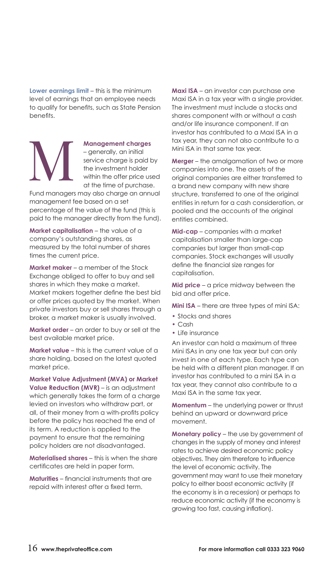**Lower earnings limit** – this is the minimum level of earnings that an employee needs to qualify for benefits, such as State Pension benefits.

**Management charges** – generally, an initial service charge is paid by the investment holder within the offer price used at the time of purchase.

Fund managers may also charge an annual management fee based on a set percentage of the value of the fund (this is paid to the manager directly from the fund).

**Market capitalisation** – the value of a company's outstanding shares, as measured by the total number of shares times the current price.

**Market maker** – a member of the Stock Exchange obliged to offer to buy and sell shares in which they make a market. Market makers together define the best bid or offer prices quoted by the market. When private investors buy or sell shares through a broker, a market maker is usually involved.

**Market order** – an order to buy or sell at the best available market price.

**Market value** – this is the current value of a share holding, based on the latest quoted market price.

**Market Value Adjustment (MVA) or Market Value Reduction (MVR)** – is an adjustment which generally takes the form of a charge levied on investors who withdraw part, or all, of their money from a with-profits policy before the policy has reached the end of its term. A reduction is applied to the payment to ensure that the remaining policy holders are not disadvantaged.

**Materialised shares** – this is when the share certificates are held in paper form.

**Maturities** – financial instruments that are repaid with interest after a fixed term.

**Maxi ISA** – an investor can purchase one Maxi ISA in a tax year with a single provider. The investment must include a stocks and shares component with or without a cash and/or life insurance component. If an investor has contributed to a Maxi ISA in a tax year, they can not also contribute to a Mini ISA in that same tax year.

**Merger** – the amalgamation of two or more companies into one. The assets of the original companies are either transferred to a brand new company with new share structure, transferred to one of the original entities in return for a cash consideration, or pooled and the accounts of the original entities combined.

**Mid-cap** – companies with a market capitalisation smaller than large-cap companies but larger than small-cap companies. Stock exchanges will usually define the financial size ranges for capitalisation.

**Mid price** – a price midway between the bid and offer price.

**Mini ISA** – there are three types of mini ISA:

- **•** Stocks and shares
- **•** Cash
- **•** Life insurance

An investor can hold a maximum of three Mini ISAs in any one tax year but can only invest in one of each type. Each type can be held with a different plan manager. If an investor has contributed to a mini ISA in a tax year, they cannot also contribute to a Maxi ISA in the same tax year.

**Momentum** – the underlying power or thrust behind an upward or downward price movement.

**Monetary policy** – the use by government of changes in the supply of money and interest rates to achieve desired economic policy objectives. They aim therefore to influence the level of economic activity. The government may want to use their monetary policy to either boost economic activity (if the economy is in a recession) or perhaps to reduce economic activity (if the economy is growing too fast, causing inflation).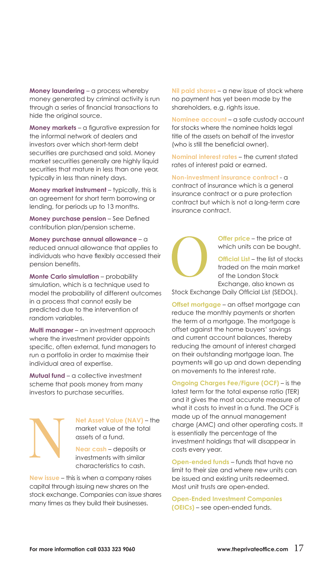**Money laundering** – a process whereby money generated by criminal activity is run through a series of financial transactions to hide the original source.

**Money markets** – a figurative expression for the informal network of dealers and investors over which short-term debt securities are purchased and sold. Money market securities generally are highly liquid securities that mature in less than one year, typically in less than ninety days.

**Money market instrument** – typically, this is an agreement for short term borrowing or lending, for periods up to 13 months.

**Money purchase pension** – See Defined contribution plan/pension scheme.

**Money purchase annual allowance** – a reduced annual allowance that applies to individuals who have flexibly accessed their pension benefits.

**Monte Carlo simulation** – probability simulation, which is a technique used to model the probability of different outcomes in a process that cannot easily be predicted due to the intervention of random variables.

**Multi manager** – an investment approach where the investment provider appoints specific, often external, fund managers to run a portfolio in order to maximise their individual area of expertise.

**Mutual fund** – a collective investment scheme that pools money from many investors to purchase securities.

> **Net Asset Value (NAV)** – the market value of the total assets of a fund.

**Near cash** – deposits or investments with similar characteristics to cash.

**New issue** – this is when a company raises capital through issuing new shares on the stock exchange. Companies can issue shares many times as they build their businesses.

**Nil paid shares** – a new issue of stock where no payment has yet been made by the shareholders, e.g. rights issue.

**Nominee account** – a safe custody account for stocks where the nominee holds legal title of the assets on behalf of the investor (who is still the beneficial owner).

**Nominal interest rates** – the current stated rates of interest paid or earned.

**Non-investment insurance contract** - a contract of insurance which is a general insurance contract or a pure protection contract but which is not a long-term care insurance contract.

> **Offer price** – the price at which units can be bought. **Official List** – the list of stocks

traded on the main market of the London Stock Exchange, also known as

Stock Exchange Daily Official List (SEDOL).

**Offset mortgage** – an offset mortgage can reduce the monthly payments or shorten the term of a mortgage. The mortgage is offset against the home buyers' savings and current account balances, thereby reducing the amount of interest charged on their outstanding mortgage loan. The payments will go up and down depending on movements to the interest rate.

**Ongoing Charges Fee/Figure (OCF)** – is the latest term for the total expense ratio (TER) and it gives the most accurate measure of what it costs to invest in a fund. The OCF is made up of the annual management charge (AMC) and other operating costs. It is essentially the percentage of the investment holdings that will disappear in costs every year.

**Open-ended funds** – funds that have no limit to their size and where new units can be issued and existing units redeemed. Most unit trusts are open-ended.

**Open-Ended Investment Companies (OEICs)** – see open-ended funds.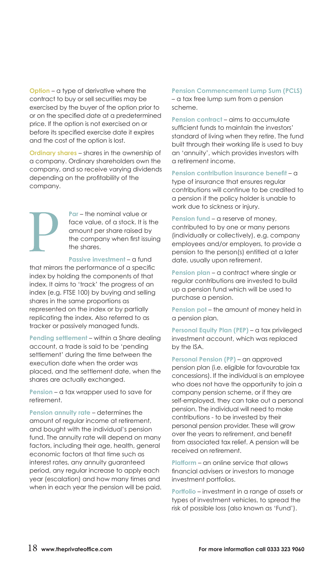**Option** – a type of derivative where the contract to buy or sell securities may be exercised by the buyer of the option prior to or on the specified date at a predetermined price. If the option is not exercised on or before its specified exercise date it expires and the cost of the option is lost.

**Ordinary shares** – shares in the ownership of a company. Ordinary shareholders own the company, and so receive varying dividends depending on the profitability of the company.

> **Par** – the nominal value or face value, of a stock. It is the amount per share raised by the company when first issuing the shares.

**Passive investment** – a fund that mirrors the performance of a specific index by holding the components of that index. It aims to 'track' the progress of an index (e.g. FTSE 100) by buying and selling shares in the same proportions as represented on the index or by partially replicating the index. Also referred to as tracker or passively managed funds.

**Pending settlement** – within a Share dealing account, a trade is said to be 'pending settlement' during the time between the execution date when the order was placed, and the settlement date, when the shares are actually exchanged.

**Pension** – a tax wrapper used to save for retirement.

**Pension annuity rate** – determines the amount of regular income at retirement, and bought with the individual's pension fund. The annuity rate will depend on many factors, including their age, health, general economic factors at that time such as interest rates, any annuity guaranteed period, any regular increase to apply each year (escalation) and how many times and when in each year the pension will be paid. **Pension Commencement Lump Sum (PCLS)** – a tax free lump sum from a pension scheme.

**Pension contract** – aims to accumulate sufficient funds to maintain the investors' standard of living when they retire. The fund built through their working life is used to buy an 'annuity', which provides investors with a retirement income.

**Pension contribution insurance benefit** – a type of insurance that ensures regular contributions will continue to be credited to a pension if the policy holder is unable to work due to sickness or injury.

**Pension fund** – a reserve of money, contributed to by one or many persons (individually or collectively), e.g. company employees and/or employers, to provide a pension to the person(s) entitled at a later date, usually upon retirement.

**Pension plan** – a contract where single or regular contributions are invested to build up a pension fund which will be used to purchase a pension.

**Pension pot – the amount of money held in** a pension plan.

**Personal Equity Plan (PEP)** – a tax privileged investment account, which was replaced by the ISA.

**Personal Pension (PP)** – an approved pension plan (i.e. eligible for favourable tax concessions). If the individual is an employee who does not have the opportunity to join a company pension scheme, or if they are self-employed, they can take out a personal pension. The individual will need to make contributions - to be invested by their personal pension provider. These will grow over the years to retirement, and benefit from associated tax relief. A pension will be received on retirement.

**Platform** – an online service that allows financial advisers or investors to manage investment portfolios.

**Portfolio** – investment in a range of assets or types of investment vehicles, to spread the risk of possible loss (also known as 'Fund').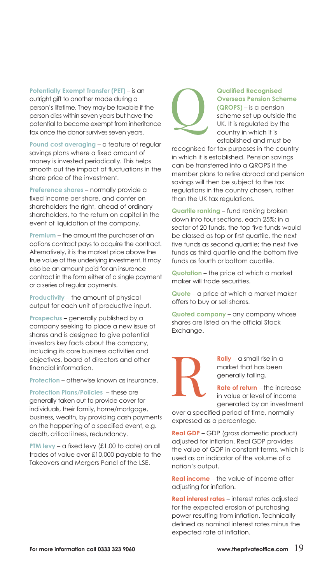**Potentially Exempt Transfer (PET)** – is an outright gift to another made during a person's lifetime. They may be taxable if the person dies within seven years but have the potential to become exempt from inheritance tax once the donor survives seven years.

**Pound cost averaging** – a feature of regular savings plans where a fixed amount of money is invested periodically. This helps smooth out the impact of fluctuations in the share price of the investment.

**Preference shares** – normally provide a fixed income per share, and confer on shareholders the right, ahead of ordinary shareholders, to the return on capital in the event of liquidation of the company.

**Premium** – the amount the purchaser of an options contract pays to acquire the contract. Alternatively, it is the market price above the true value of the underlying investment. It may also be an amount paid for an insurance contract in the form either of a single payment or a series of regular payments.

**Productivity** – the amount of physical output for each unit of productive input.

**Prospectus** – generally published by a company seeking to place a new issue of shares and is designed to give potential investors key facts about the company, including its core business activities and objectives, board of directors and other financial information.

**Protection** – otherwise known as insurance.

**Protection Plans/Policies** – these are generally taken out to provide cover for individuals, their family, home/mortgage, business, wealth, by providing cash payments on the happening of a specified event, e.g. death, critical illness, redundancy.

**PTM levy** – a fixed levy (£1.00 to date) on all trades of value over £10,000 payable to the Takeovers and Mergers Panel of the LSE.



#### **Qualified Recognised Overseas Pension Scheme (QROPS)** – is a pension

scheme set up outside the UK. It is regulated by the country in which it is established and must be

recognised for tax purposes in the country in which it is established. Pension savings can be transferred into a QROPS if the member plans to retire abroad and pension savings will then be subject to the tax regulations in the country chosen, rather than the UK tax regulations.

**Quartile ranking** – fund ranking broken down into four sections, each 25%; in a sector of 20 funds, the top five funds would be classed as top or first quartile, the next five funds as second quartile; the next five funds as third quartile and the bottom five funds as fourth or bottom quartile.

**Quotation** – the price at which a market maker will trade securities.

**Quote** – a price at which a market maker offers to buy or sell shares.

**Quoted company** – any company whose shares are listed on the official Stock Exchange.



**Rally** – a small rise in a market that has been generally falling.

**Rate of return** – the increase in value or level of income generated by an investment

over a specified period of time, normally expressed as a percentage.

**Real GDP** – GDP (gross domestic product) adjusted for inflation. Real GDP provides the value of GDP in constant terms, which is used as an indicator of the volume of a nation's output.

**Real income** – the value of income after adjusting for inflation.

**Real interest rates** – interest rates adjusted for the expected erosion of purchasing power resulting from inflation. Technically defined as nominal interest rates minus the expected rate of inflation.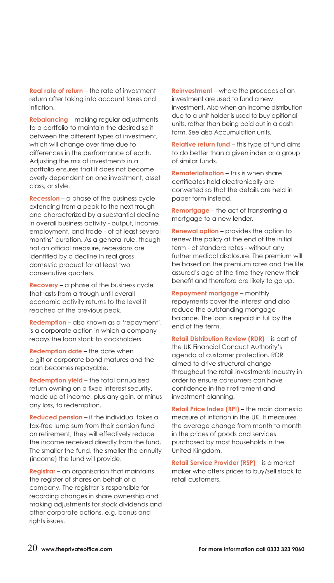**Real rate of return** – the rate of investment return after taking into account taxes and inflation.

**Rebalancing** – making regular adjustments to a portfolio to maintain the desired split between the different types of investment, which will change over time due to differences in the performance of each. Adjusting the mix of investments in a portfolio ensures that it does not become overly dependent on one investment, asset class, or style.

**Recession** – a phase of the business cycle extending from a peak to the next trough and characterized by a substantial decline in overall business activity - output, income, employment, and trade - of at least several months' duration. As a general rule, though not an official measure, recessions are identified by a decline in real gross domestic product for at least two consecutive quarters.

**Recovery** – a phase of the business cycle that lasts from a trough until overall economic activity returns to the level it reached at the previous peak.

**Redemption** – also known as a 'repayment', is a corporate action in which a company repays the loan stock to stockholders.

**Redemption date** – the date when a gilt or corporate bond matures and the loan becomes repayable.

**Redemption yield** – the total annualised return owning on a fixed interest security, made up of income, plus any gain, or minus any loss, to redemption.

**Reduced pension** – if the individual takes a tax-free lump sum from their pension fund on retirement, they will effectively reduce the income received directly from the fund. The smaller the fund, the smaller the annuity (income) the fund will provide.

**Registrar** – an organisation that maintains the register of shares on behalf of a company. The registrar is responsible for recording changes in share ownership and making adjustments for stock dividends and other corporate actions, e.g. bonus and rights issues.

**Reinvestment** – where the proceeds of an investment are used to fund a new investment. Also when an income distribution due to a unit holder is used to buy apitional units, rather than being paid out in a cash form. See also Accumulation units.

**Relative return fund** – this type of fund aims to do better than a given index or a group of similar funds.

**Rematerialisation** – this is when share certificates held electronically are converted so that the details are held in paper form instead.

**Remortgage** – the act of transferring a mortgage to a new lender.

**Renewal option** – provides the option to renew the policy at the end of the initial term - at standard rates - without any further medical disclosure. The premium will be based on the premium rates and the life assured's age at the time they renew their benefit and therefore are likely to go up.

**Repayment mortgage** – monthly repayments cover the interest and also reduce the outstanding mortgage balance. The loan is repaid in full by the end of the term.

**Retail Distribution Review (RDR)** – is part of the UK Financial Conduct Authority's agenda of customer protection. RDR aimed to drive structural change throughout the retail investments industry in order to ensure consumers can have confidence in their retirement and investment planning.

**Retail Price Index (RPI)** – the main domestic measure of inflation in the UK. It measures the average change from month to month in the prices of goods and services purchased by most households in the United Kingdom.

**Retail Service Provider (RSP)** – is a market maker who offers prices to buy/sell stock to retail customers.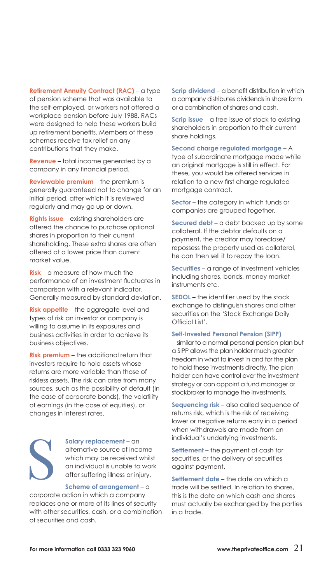**Retirement Annuity Contract (RAC)** – a type of pension scheme that was available to the self-employed, or workers not offered a workplace pension before July 1988. RACs were designed to help these workers build up retirement benefits. Members of these schemes receive tax relief on any contributions that they make.

**Revenue** – total income generated by a company in any financial period.

**Reviewable premium** – the premium is generally guaranteed not to change for an initial period, after which it is reviewed regularly and may go up or down.

**Rights issue** – existing shareholders are offered the chance to purchase optional shares in proportion to their current shareholding. These extra shares are often offered at a lower price than current market value.

**Risk** – a measure of how much the performance of an investment fluctuates in comparison with a relevant indicator. Generally measured by standard deviation.

**Risk appetite** – the aggregate level and types of risk an investor or company is willing to assume in its exposures and business activities in order to achieve its business objectives.

**Risk premium** – the additional return that investors require to hold assets whose returns are more variable than those of riskless assets. The risk can arise from many sources, such as the possibility of default (in the case of corporate bonds), the volatility of earnings (in the case of equities), or changes in interest rates.

**Salary replacement** – an alternative source of income which may be received whilst an individual is unable to work after suffering illness or injury.

#### **Scheme of arrangement** – a

corporate action in which a company replaces one or more of its lines of security with other securities, cash, or a combination of securities and cash.

**Scrip dividend** – a benefit distribution in which a company distributes dividends in share form or a combination of shares and cash.

**Scrip issue** – a free issue of stock to existing shareholders in proportion to their current share holdings.

#### **Second charge regulated mortgage** – A

type of subordinate mortgage made while an original mortgage is still in effect. For these, you would be offered services in relation to a new first charge regulated mortgage contract.

**Sector** – the category in which funds or companies are grouped together.

**Secured debt** – a debt backed up by some collateral. If the debtor defaults on a payment, the creditor may foreclose/ repossess the property used as collateral, he can then sell it to repay the loan.

**Securities** – a range of investment vehicles including shares, bonds, money market instruments etc.

**SEDOL** – the identifier used by the stock exchange to distinguish shares and other securities on the 'Stock Exchange Daily Official List'.

#### **Self-Invested Personal Pension (SIPP)**

– similar to a normal personal pension plan but a SIPP allows the plan holder much greater freedom in what to invest in and for the plan to hold these investments directly. The plan holder can have control over the investment strategy or can appoint a fund manager or stockbroker to manage the investments.

**Sequencing risk** – also called sequence of returns risk, which is the risk of receiving lower or negative returns early in a period when withdrawals are made from an individual's underlying investments.

**Settlement** – the payment of cash for securities, or the delivery of securities against payment.

**Settlement date** – the date on which a trade will be settled. In relation to shares, this is the date on which cash and shares must actually be exchanged by the parties in a trade.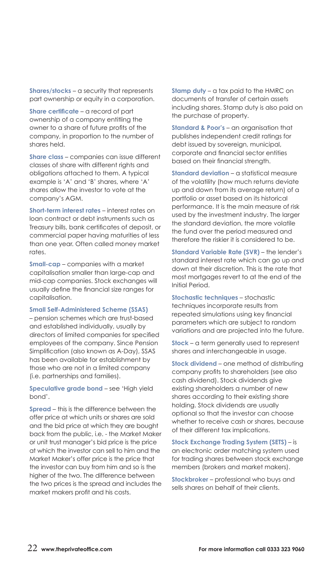**Shares/stocks** – a security that represents part ownership or equity in a corporation.

**Share certificate** – a record of part ownership of a company entitling the owner to a share of future profits of the company, in proportion to the number of shares held.

**Share class** – companies can issue different classes of share with different rights and obligations attached to them. A typical example is 'A' and 'B' shares, where 'A' shares allow the investor to vote at the company's AGM.

**Short-term interest rates** – interest rates on loan contract or debt instruments such as Treasury bills, bank certificates of deposit, or commercial paper having maturities of less than one year. Often called money market rates.

**Small-cap** – companies with a market capitalisation smaller than large-cap and mid-cap companies. Stock exchanges will usually define the financial size ranges for capitalisation.

**Small Self-Administered Scheme (SSAS)**

– pension schemes which are trust-based and established individually, usually by directors of limited companies for specified employees of the company. Since Pension Simplification (also known as A-Day), SSAS has been available for establishment by those who are not in a limited company (i.e. partnerships and families).

**Speculative grade bond** – see 'High yield bond'.

**Spread** – this is the difference between the offer price at which units or shares are sold and the bid price at which they are bought back from the public, i.e. - the Market Maker or unit trust manager's bid price is the price at which the investor can sell to him and the Market Maker's offer price is the price that the investor can buy from him and so is the higher of the two. The difference between the two prices is the spread and includes the market makers profit and his costs.

**Stamp duty** – a tax paid to the HMRC on documents of transfer of certain assets including shares. Stamp duty is also paid on the purchase of property.

**Standard & Poor's** – an organisation that publishes independent credit ratings for debt issued by sovereign, municipal, corporate and financial sector entities based on their financial strength.

**Standard deviation** – a statistical measure of the volatility (how much returns deviate up and down from its average return) of a portfolio or asset based on its historical performance. It is the main measure of risk used by the investment industry. The larger the standard deviation, the more volatile the fund over the period measured and therefore the riskier it is considered to be.

**Standard Variable Rate (SVR)** – the lender's standard interest rate which can go up and down at their discretion. This is the rate that most mortgages revert to at the end of the Initial Period.

**Stochastic techniques** – stochastic techniques incorporate results from repeated simulations using key financial parameters which are subject to random variations and are projected into the future.

**Stock** – a term generally used to represent shares and interchangeable in usage.

**Stock dividend** – one method of distributing company profits to shareholders (see also cash dividend). Stock dividends give existing shareholders a number of new shares according to their existing share holding. Stock dividends are usually optional so that the investor can choose whether to receive cash or shares, because of their different tax implications.

**Stock Exchange Trading System (SETS)** – is an electronic order matching system used for trading shares between stock exchange members (brokers and market makers).

**Stockbroker** – professional who buys and sells shares on behalf of their clients.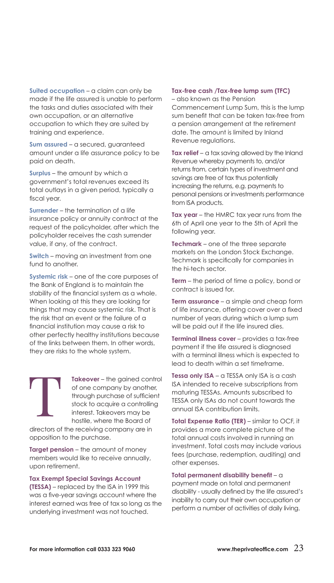**Suited occupation** – a claim can only be made if the life assured is unable to perform the tasks and duties associated with their own occupation, or an alternative occupation to which they are suited by training and experience.

**Sum assured** – a secured, guaranteed amount under a life assurance policy to be paid on death.

**Surplus** – the amount by which a government's total revenues exceed its total outlays in a given period, typically a fiscal year.

**Surrender** – the termination of a life insurance policy or annuity contract at the request of the policyholder, after which the policyholder receives the cash surrender value, if any, of the contract.

**Switch** – moving an investment from one fund to another.

**Systemic risk** – one of the core purposes of the Bank of England is to maintain the stability of the financial system as a whole. When looking at this they are looking for things that may cause systemic risk. That is the risk that an event or the failure of a financial institution may cause a risk to other perfectly healthy institutions because of the links between them. In other words, they are risks to the whole system.

> **Takeover** – the gained control of one company by another, through purchase of sufficient stock to acquire a controlling interest. Takeovers may be hostile, where the Board of

directors of the receiving company are in opposition to the purchase.

**Target pension** – the amount of money members would like to receive annually, upon retirement.

**Tax Exempt Special Savings Account (TESSA)** – replaced by the ISA in 1999 this was a five-year savings account where the interest earned was free of tax so long as the underlying investment was not touched.

### **Tax-free cash /Tax-free lump sum (TFC)**

– also known as the Pension Commencement Lump Sum, this is the lump sum benefit that can be taken tax-free from a pension arrangement at the retirement date. The amount is limited by Inland Revenue regulations.

**Tax relief** – a tax saving allowed by the Inland Revenue whereby payments to, and/or returns from, certain types of investment and savings are free of tax thus potentially increasing the returns, e.g. payments to personal pensions or investments performance from ISA products.

**Tax year** – the HMRC tax year runs from the 6th of April one year to the 5th of April the following year.

**Techmark** – one of the three separate markets on the London Stock Exchange. Techmark is specifically for companies in the hi-tech sector.

**Term** – the period of time a policy, bond or contract is issued for.

**Term assurance** – a simple and cheap form of life insurance, offering cover over a fixed number of years during which a lump sum will be paid out if the life insured dies.

**Terminal illness cover** – provides a tax-free payment if the life assured is diagnosed with a terminal illness which is expected to lead to death within a set timeframe.

**Tessa only ISA** – a TESSA only ISA is a cash ISA intended to receive subscriptions from maturing TESSAs. Amounts subscribed to TESSA only ISAs do not count towards the annual ISA contribution limits.

**Total Expense Ratio (TER)** – similar to OCF, it provides a more complete picture of the total annual costs involved in running an investment. Total costs may include various fees (purchase, redemption, auditing) and other expenses.

**Total permanent disability benefit** – a payment made on total and permanent disability - usually defined by the life assured's inability to carry out their own occupation or perform a number of activities of daily living.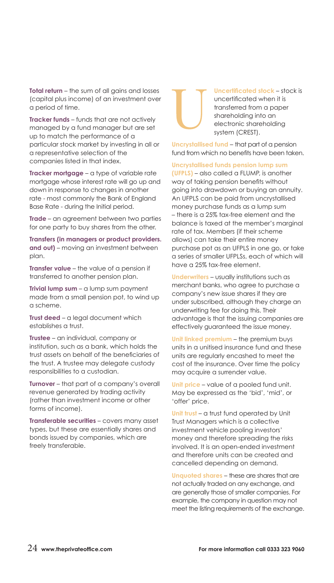**Total return** – the sum of all gains and losses (capital plus income) of an investment over a period of time.

**Tracker funds** – funds that are not actively managed by a fund manager but are set up to match the performance of a particular stock market by investing in all or a representative selection of the companies listed in that index.

**Tracker mortgage** – a type of variable rate mortgage whose interest rate will go up and down in response to changes in another rate - most commonly the Bank of England Base Rate - during the Initial period.

**Trade** – an agreement between two parties for one party to buy shares from the other.

**Transfers (in managers or product providers. and out)** – moving an investment between plan.

**Transfer value** – the value of a pension if transferred to another pension plan.

**Trivial lump sum** – a lump sum payment made from a small pension pot, to wind up a scheme.

**Trust deed** – a legal document which establishes a trust.

**Trustee** – an individual, company or institution, such as a bank, which holds the trust assets on behalf of the beneficiaries of the trust. A trustee may delegate custody responsibilities to a custodian.

**Turnover** – that part of a company's overall revenue generated by trading activity (rather than investment income or other forms of income).

**Transferable securities** – covers many asset types, but these are essentially shares and bonds issued by companies, which are freely transferable.

**Uncertificated stock** – stock is uncertificated when it is transferred from a paper shareholding into an electronic shareholding system (CREST).

**Uncrystallised fund** – that part of a pension fund from which no benefits have been taken.

**Uncrystallised funds pension lump sum** 

**(UFPLS)** – also called a FLUMP, is another way of taking pension benefits without going into drawdown or buying an annuity. An UFPLS can be paid from uncrystallised money purchase funds as a lump sum – there is a 25% tax-free element and the balance is taxed at the member's marginal rate of tax. Members (if their scheme allows) can take their entire money purchase pot as an UFPLS in one go, or take a series of smaller UFPLSs, each of which will have a 25% tax-free element.

**Underwriters** – usually institutions such as merchant banks, who agree to purchase a company's new issue shares if they are under subscribed, although they charge an underwriting fee for doing this. Their advantage is that the issuing companies are effectively guaranteed the issue money.

**Unit linked premium** – the premium buys units in a unitised insurance fund and these units are regularly encashed to meet the cost of the insurance. Over time the policy may acquire a surrender value.

**Unit price** – value of a pooled fund unit. May be expressed as the 'bid', 'mid', or 'offer' price.

**Unit trust** – a trust fund operated by Unit Trust Managers which is a collective investment vehicle pooling investors' money and therefore spreading the risks involved. It is an open-ended investment and therefore units can be created and cancelled depending on demand.

**Unquoted shares** – these are shares that are not actually traded on any exchange, and are generally those of smaller companies. For example, the company in question may not meet the listing requirements of the exchange.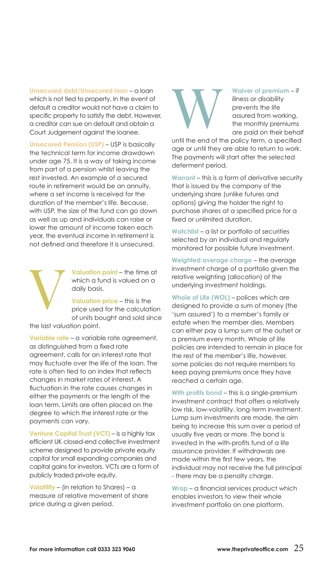**Unsecured debt/Unsecured loan** – a loan which is not tied to property. In the event of default a creditor would not have a claim to specific property to satisfy the debt. However, a creditor can sue on default and obtain a Court Judgement against the loanee.

**Unsecured Pension (USP)** – USP is basically the technical term for income drawdown under age 75. It is a way of taking income from part of a pension whilst leaving the rest invested. An example of a secured route in retirement would be an annuity, where a set income is received for the duration of the member's life. Because, with USP, the size of the fund can go down as well as up and individuals can raise or lower the amount of income taken each year, the eventual income in retirement is not defined and therefore it is unsecured.

> **Valuation point** – the time at which a fund is valued on a daily basis.

**Valuation price** – this is the price used for the calculation of units bought and sold since

the last valuation point.

**Variable rate** – a variable rate agreement, as distinguished from a fixed rate agreement, calls for an interest rate that may fluctuate over the life of the loan. The rate is often tied to an index that reflects changes in market rates of interest. A fluctuation in the rate causes changes in either the payments or the length of the loan term. Limits are often placed on the degree to which the interest rate or the payments can vary.

**Venture Capital Trust (VCT)** – is a highly tax efficient UK closed-end collective investment scheme designed to provide private equity capital for small expanding companies and capital gains for investors. VCTs are a form of publicly traded private equity.

**Volatility** – (in relation to Shares) – a measure of relative movement of share price during a given period.

**Waiver of premium** – if illness or disability prevents the life assured from working, the monthly premiums are paid on their behalf

until the end of the policy term, a specified age or until they are able to return to work. The payments will start after the selected deferment period.

**Warrant** – this is a form of derivative security that is issued by the company of the underlying share (unlike futures and options) giving the holder the right to purchase shares at a specified price for a fixed or unlimited duration.

**Watchlist** – a list or portfolio of securities selected by an individual and regularly monitored for possible future investment.

**Weighted average charge** – the average investment charge of a portfolio given the relative weighting (allocation) of the underlying investment holdings.

**Whole of Life (WOL)** – polices which are designed to provide a sum of money (the 'sum assured') to a member's family or estate when the member dies. Members can either pay a lump sum at the outset or a premium every month. Whole of life policies are intended to remain in place for the rest of the member's life, however, some policies do not require members to keep paying premiums once they have reached a certain age.

**With profits bond** – this is a single-premium investment contract that offers a relatively low risk, low-volatility, long-term investment. Lump sum investments are made, the aim being to increase this sum over a period of usually five years or more. The bond is invested in the with-profits fund of a life assurance provider. If withdrawals are made within the first few years, the individual may not receive the full principal - there may be a penalty charge.

**Wrap** – a financial services product which enables investors to view their whole investment portfolio on one platform.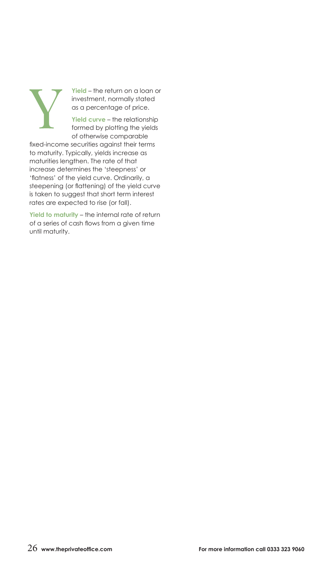

**Yield** – the return on a loan or investment, normally stated as a percentage of price.

Yield curve – the relationship formed by plotting the yields of otherwise comparable

fixed-income securities against their terms to maturity. Typically, yields increase as maturities lengthen. The rate of that increase determines the 'steepness' or 'flatness' of the yield curve. Ordinarily, a steepening (or flattening) of the yield curve is taken to suggest that short term interest rates are expected to rise (or fall).

**Yield to maturity** – the internal rate of return of a series of cash flows from a given time until maturity.